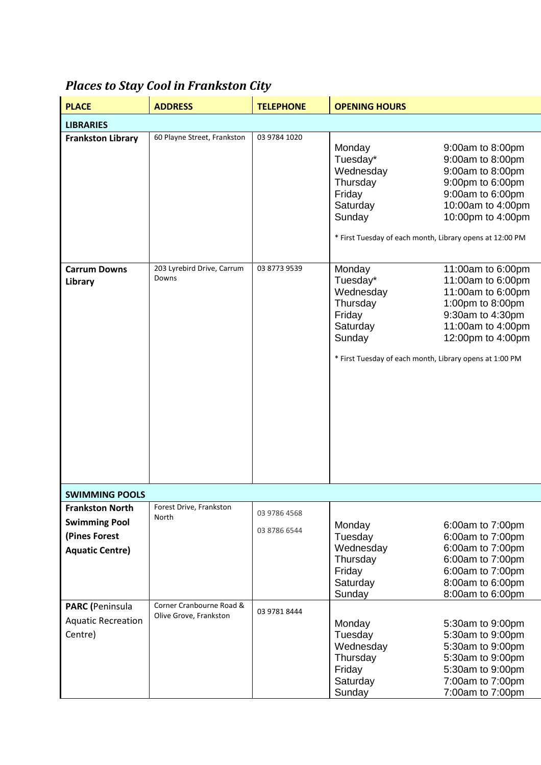| <b>PLACE</b>                                                                                                        | <b>ADDRESS</b>                                               | <b>TELEPHONE</b>                             | <b>OPENING HOURS</b>                                                                                                                    |                                                                                                                                               |  |  |  |
|---------------------------------------------------------------------------------------------------------------------|--------------------------------------------------------------|----------------------------------------------|-----------------------------------------------------------------------------------------------------------------------------------------|-----------------------------------------------------------------------------------------------------------------------------------------------|--|--|--|
| <b>LIBRARIES</b>                                                                                                    |                                                              |                                              |                                                                                                                                         |                                                                                                                                               |  |  |  |
| <b>Frankston Library</b>                                                                                            | 60 Playne Street, Frankston                                  | 03 9784 1020                                 | Monday<br>Tuesday*<br>Wednesday<br>Thursday<br>Friday<br>Saturday<br>Sunday<br>* First Tuesday of each month, Library opens at 12:00 PM | 9:00am to 8:00pm<br>9:00am to 8:00pm<br>9:00am to 8:00pm<br>9:00pm to 6:00pm<br>9:00am to 6:00pm<br>10:00am to 4:00pm<br>10:00pm to 4:00pm    |  |  |  |
| <b>Carrum Downs</b><br>Library                                                                                      | 203 Lyrebird Drive, Carrum<br>Downs                          | 03 8773 9539                                 | Monday<br>Tuesday*<br>Wednesday<br>Thursday<br>Friday<br>Saturday<br>Sunday<br>* First Tuesday of each month, Library opens at 1:00 PM  | 11:00am to 6:00pm<br>11:00am to 6:00pm<br>11:00am to 6:00pm<br>1:00pm to 8:00pm<br>9:30am to 4:30pm<br>11:00am to 4:00pm<br>12:00pm to 4:00pm |  |  |  |
| <b>SWIMMING POOLS</b>                                                                                               |                                                              |                                              |                                                                                                                                         |                                                                                                                                               |  |  |  |
| <b>Frankston North</b><br><b>Swimming Pool</b><br>(Pines Forest<br><b>Aquatic Centre)</b><br><b>PARC</b> (Peninsula | Forest Drive, Frankston<br>North<br>Corner Cranbourne Road & | 03 9786 4568<br>03 8786 6544<br>03 9781 8444 | Monday<br>Tuesday<br>Wednesday<br>Thursday<br>Friday<br>Saturday<br>Sunday                                                              | 6:00am to 7:00pm<br>6:00am to 7:00pm<br>6:00am to 7:00pm<br>6:00am to 7:00pm<br>6:00am to 7:00pm<br>8:00am to 6:00pm<br>8:00am to 6:00pm      |  |  |  |
| <b>Aquatic Recreation</b><br>Centre)                                                                                | Olive Grove, Frankston                                       |                                              | Monday<br>Tuesday<br>Wednesday<br>Thursday<br>Friday<br>Saturday<br>Sunday                                                              | 5:30am to 9:00pm<br>5:30am to 9:00pm<br>5:30am to 9:00pm<br>5:30am to 9:00pm<br>5:30am to 9:00pm<br>7:00am to 7:00pm<br>7:00am to 7:00pm      |  |  |  |

## *Places to Stay Cool in Frankston City*